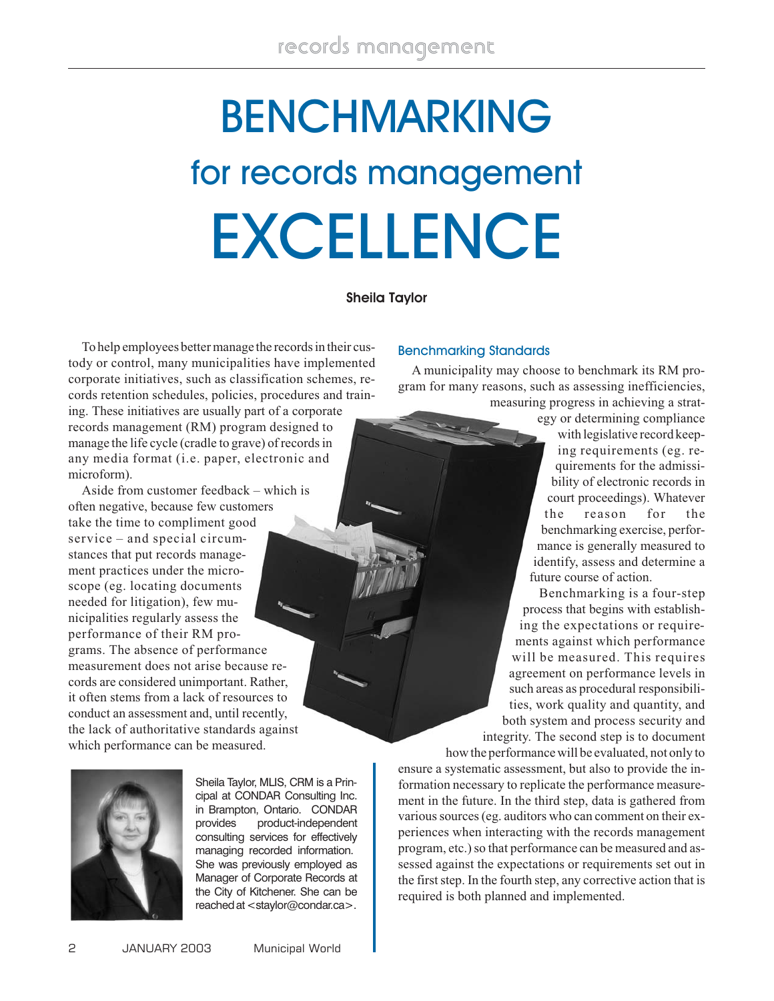# **BENCHMARKING** for records management **EXCELLENCE**

# **Sheila Taylor**

To help employees better manage the records in their custody or control, many municipalities have implemented corporate initiatives, such as classification schemes, records retention schedules, policies, procedures and training. These initiatives are usually part of a corporate records management (RM) program designed to manage the life cycle (cradle to grave) of records in any media format (i.e. paper, electronic and microform).

Aside from customer feedback – which is often negative, because few customers take the time to compliment good service – and special circumstances that put records management practices under the microscope (eg. locating documents needed for litigation), few municipalities regularly assess the performance of their RM programs. The absence of performance measurement does not arise because records are considered unimportant. Rather, it often stems from a lack of resources to conduct an assessment and, until recently, the lack of authoritative standards against which performance can be measured.



Sheila Taylor, MLIS, CRM is a Principal at CONDAR Consulting Inc. in Brampton, Ontario. CONDAR provides product-independent consulting services for effectively managing recorded information. She was previously employed as Manager of Corporate Records at the City of Kitchener. She can be reached at<staylor@condar.ca>.

## Benchmarking Standards

A municipality may choose to benchmark its RM program for many reasons, such as assessing inefficiencies, measuring progress in achieving a strat-

egy or determining compliance with legislative record keeping requirements (eg. requirements for the admissibility of electronic records in court proceedings). Whatever the reason for the benchmarking exercise, performance is generally measured to identify, assess and determine a future course of action.

Benchmarking is a four-step process that begins with establishing the expectations or requirements against which performance will be measured. This requires agreement on performance levels in such areas as procedural responsibilities, work quality and quantity, and both system and process security and integrity. The second step is to document

how the performance will be evaluated, not only to ensure a systematic assessment, but also to provide the information necessary to replicate the performance measurement in the future. In the third step, data is gathered from various sources (eg. auditors who can comment on their experiences when interacting with the records management program, etc.) so that performance can be measured and assessed against the expectations or requirements set out in the first step. In the fourth step, any corrective action that is required is both planned and implemented.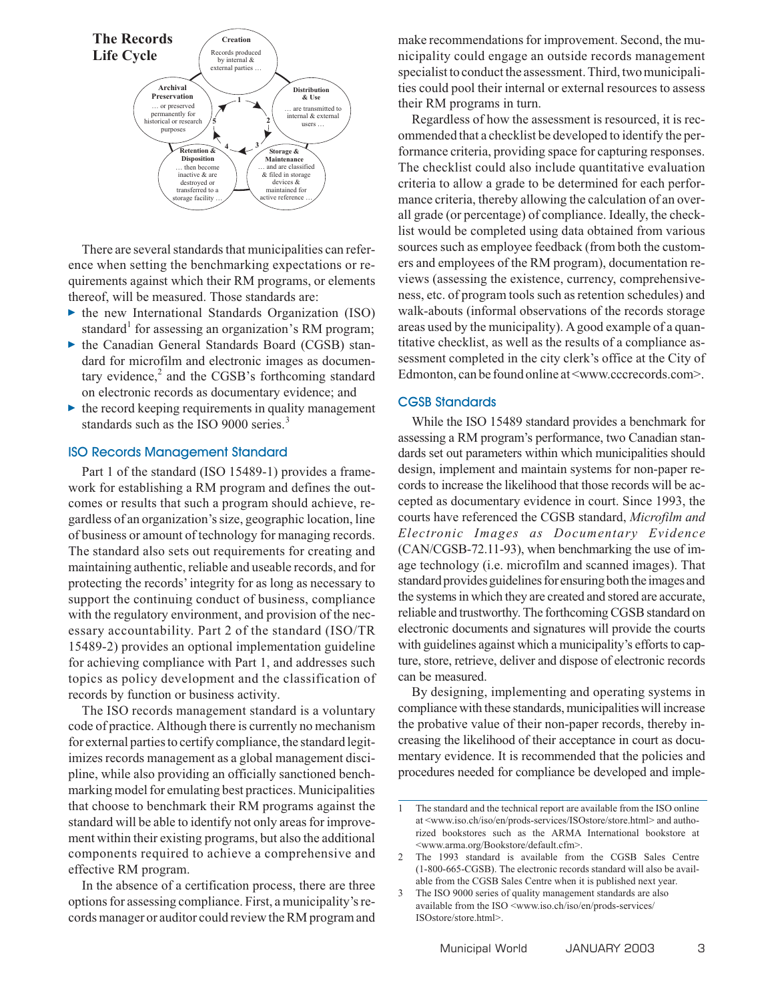

There are several standards that municipalities can reference when setting the benchmarking expectations or requirements against which their RM programs, or elements thereof, will be measured. Those standards are:

- $\blacktriangleright$  the new International Standards Organization (ISO) standard<sup>1</sup> for assessing an organization's RM program;
- $\blacktriangleright$  the Canadian General Standards Board (CGSB) standard for microfilm and electronic images as documentary evidence, $<sup>2</sup>$  and the CGSB's forthcoming standard</sup> on electronic records as documentary evidence; and
- $\blacktriangleright$  the record keeping requirements in quality management standards such as the ISO 9000 series.<sup>3</sup>

### ISO Records Management Standard

Part 1 of the standard (ISO 15489-1) provides a framework for establishing a RM program and defines the outcomes or results that such a program should achieve, regardless of an organization's size, geographic location, line of business or amount of technology for managing records. The standard also sets out requirements for creating and maintaining authentic, reliable and useable records, and for protecting the records' integrity for as long as necessary to support the continuing conduct of business, compliance with the regulatory environment, and provision of the necessary accountability. Part 2 of the standard (ISO/TR 15489-2) provides an optional implementation guideline for achieving compliance with Part 1, and addresses such topics as policy development and the classification of records by function or business activity.

The ISO records management standard is a voluntary code of practice. Although there is currently no mechanism for external parties to certify compliance, the standard legitimizes records management as a global management discipline, while also providing an officially sanctioned benchmarking model for emulating best practices. Municipalities that choose to benchmark their RM programs against the standard will be able to identify not only areas for improvement within their existing programs, but also the additional components required to achieve a comprehensive and effective RM program.

In the absence of a certification process, there are three options for assessing compliance. First, a municipality's records manager or auditor could review the RM program and make recommendations for improvement. Second, the municipality could engage an outside records management specialist to conduct the assessment. Third, two municipalities could pool their internal or external resources to assess their RM programs in turn.

Regardless of how the assessment is resourced, it is recommended that a checklist be developed to identify the performance criteria, providing space for capturing responses. The checklist could also include quantitative evaluation criteria to allow a grade to be determined for each performance criteria, thereby allowing the calculation of an overall grade (or percentage) of compliance. Ideally, the checklist would be completed using data obtained from various sources such as employee feedback (from both the customers and employees of the RM program), documentation reviews (assessing the existence, currency, comprehensiveness, etc. of program tools such as retention schedules) and walk-abouts (informal observations of the records storage areas used by the municipality). Agood example of a quantitative checklist, as well as the results of a compliance assessment completed in the city clerk's office at the City of Edmonton, can be found online at <www.cccrecords.com>.

### CGSB Standards

While the ISO 15489 standard provides a benchmark for assessing a RM program's performance, two Canadian standards set out parameters within which municipalities should design, implement and maintain systems for non-paper records to increase the likelihood that those records will be accepted as documentary evidence in court. Since 1993, the courts have referenced the CGSB standard, *Microfilm and Electronic Images as Documentary Evidence* (CAN/CGSB-72.11-93), when benchmarking the use of image technology (i.e. microfilm and scanned images). That standard provides guidelines for ensuring both the images and the systems in which they are created and stored are accurate, reliable and trustworthy. The forthcoming CGSB standard on electronic documents and signatures will provide the courts with guidelines against which a municipality's efforts to capture, store, retrieve, deliver and dispose of electronic records can be measured.

By designing, implementing and operating systems in compliance with these standards, municipalities will increase the probative value of their non-paper records, thereby increasing the likelihood of their acceptance in court as documentary evidence. It is recommended that the policies and procedures needed for compliance be developed and imple-

<sup>1</sup> The standard and the technical report are available from the ISO online at <www.iso.ch/iso/en/prods-services/ISOstore/store.html> and authorized bookstores such as the ARMA International bookstore at <www.arma.org/Bookstore/default.cfm>.

<sup>2</sup> The 1993 standard is available from the CGSB Sales Centre (1-800-665-CGSB). The electronic records standard will also be available from the CGSB Sales Centre when it is published next year.

<sup>3</sup> The ISO 9000 series of quality management standards are also available from the ISO <www.iso.ch/iso/en/prods-services/ ISOstore/store.html>.